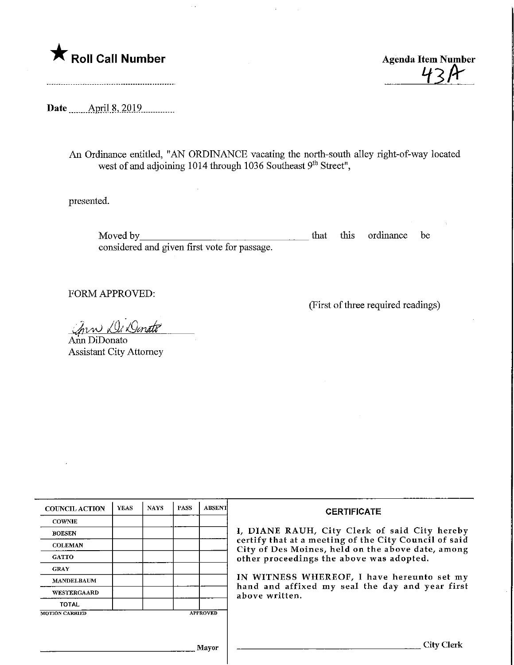

43 H

Date \_\_\_\_\_\_ April 8, 2019

An Ordinance entitled, "AN ORDINANCE vacating the north-south alley right-of-way located west of and adjoining  $1014$  through  $1036$  Southeast  $9<sup>th</sup>$  Street",

presented.

Moved by <u>superior and the set of the set of the set of the set of the set of the set of the set of the set of the set of the set of the set of the set of the set of the set of the set of the set of the set of the set of t</u> considered and given first vote for passage. that this ordinance be

FORM APPROVED:

(First of three required readings)

Ann Di Donate

Ann DiDonato Assistant City Attorney

| <b>COUNCIL ACTION</b> | YEAS | <b>NAYS</b> | <b>PASS</b> | <b>ABSENT</b>   | <b>CERTIFICATE</b><br>I, DIANE RAUH, City Clerk of said City hereby                                                                                         |  |
|-----------------------|------|-------------|-------------|-----------------|-------------------------------------------------------------------------------------------------------------------------------------------------------------|--|
| <b>COWNIE</b>         |      |             |             |                 |                                                                                                                                                             |  |
| <b>BOESEN</b>         |      |             |             |                 |                                                                                                                                                             |  |
| <b>COLEMAN</b>        |      |             |             |                 | certify that at a meeting of the City Council of said<br>City of Des Moines, held on the above date, among                                                  |  |
| <b>GATTO</b>          |      |             |             |                 | other proceedings the above was adopted.<br>IN WITNESS WHEREOF, I have hereunto set my<br>hand and affixed my seal the day and year first<br>above written. |  |
| <b>GRAY</b>           |      |             |             |                 |                                                                                                                                                             |  |
| <b>MANDELBAUM</b>     |      |             |             |                 |                                                                                                                                                             |  |
| WESTERGAARD           |      |             |             |                 |                                                                                                                                                             |  |
| <b>TOTAL</b>          |      |             |             |                 |                                                                                                                                                             |  |
| <b>MOTION CARRIED</b> |      |             |             | <b>APPROVED</b> |                                                                                                                                                             |  |
|                       |      |             |             |                 |                                                                                                                                                             |  |
| Mavor                 |      |             |             |                 | City Clerk                                                                                                                                                  |  |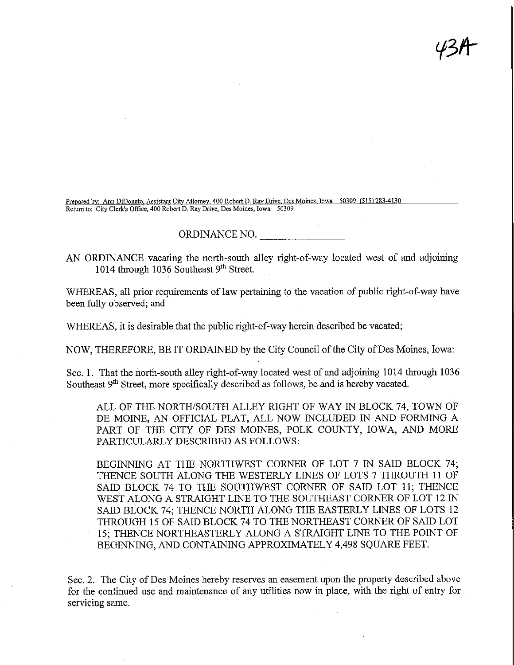Prepared by: Ann DiDonato, Assistant City Attorney, 400 Robert D. Ray Drive, Des Moines, Iowa 50309 (515) 283-413 Return to: City Clerk's Office, 400 Robert D, Ray Drive, Des Moines, Iowa 50309

## ORDINANCE NO.

AN ORDINANCE vacating the north-soufh alley right-of-way located west of and adjoining 1014 through 1036 Southeast 9<sup>th</sup> Street.

 $\mathcal{Y}\mathcal{Z}\mathcal{H}^-$ 

WHEREAS, all prior requirements of law pertaining to the vacation of public right-of-way have been fully observed; and

WHEREAS, it is desirable that the public right-of-way herein described be vacated;

NOW, THEREFORE, BE IT ORDAINED by the City Council of the City of Des Moines, Iowa:

Sec. 1. That the north-south alley right-of-way located west of and adjoining 1014 through 1036 Southeast 9<sup>th</sup> Street, more specifically described as follows, be and is hereby vacated.

ALL OF THE NORTH/SOUTH ALLEY RIGHT OF WAY IN BLOCK 74, TOWN OF DE MOINE, AN OFFICIAL PLAT, ALL NOW INCLUDED IN AND FORMING A PART OF THE CITY OF DES MOINES, POLK COUNTY, IOWA, AND MORE PARTICULARLY DESCRIBED AS FOLLOWS:

BEGINNING AT THE NORTHWEST CORNER OF LOT 7 IN SAID BLOCK 74; THENCE SOUTH ALONG THE WESTERLY LINES OF LOTS 7 THROUTH 11 OF SAID BLOCK 74 TO THE SOUTHWEST CORNER OF SAID LOT 11; THENCE WEST ALONG A STRAIGHT LINE TO THE SOUTHEAST CORNER OF LOT 12 IN SAID BLOCK 74; THENCE NORTH ALONG THE EASTERLY LINES OF LOTS 12 THROUGH 15 OF SAID BLOCK 74 TO THE NORTHEAST CORNER OF SAID LOT 15; THENCE NORTHEASTERLY ALONG A STRAIGHT LINE TO THE POINT OF BEGINNING, AND CONTAINING APPROXIMATELY 4,498 SQUARE FEET.

Sec. 2. The City of Des Moines hereby reserves an easement upon the property described above for the continued use and maintenance of any utilities now in place, with the right of entry for servicing same.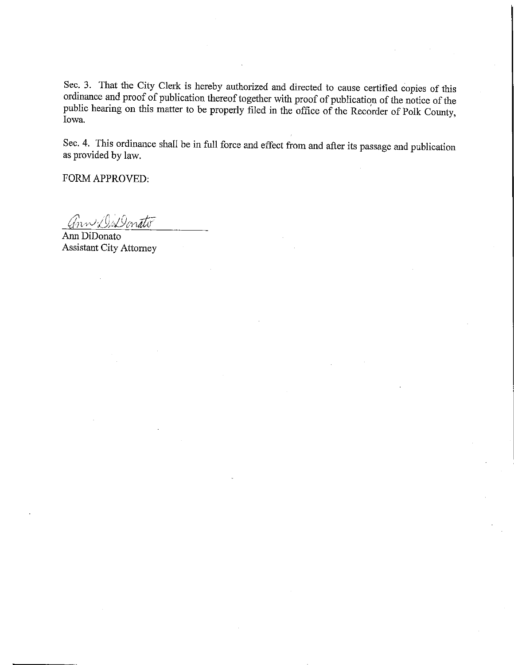Sec. 3. That the City Clerk is hereby authorized and directed to cause certified copies of this ordinance and proof of publication thereof together with proof of publication of the notice of the public hearing on this matter to be properly filed in the office of the Recorder of Polk County, Iowa.

Sec. 4. This ordinance shall be in full force and effect from and after its passage and publication as provided by law.

FORM APPROVED:

Ann DiDonato

 $\mathcal{L}$ Assistant City Attorney